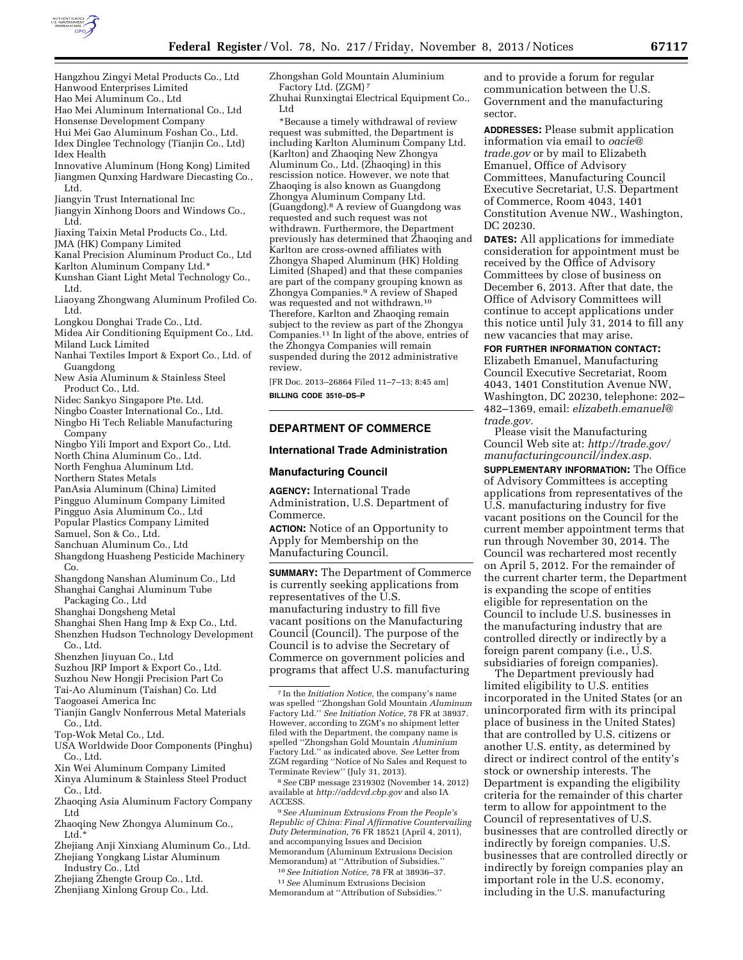

- Hangzhou Zingyi Metal Products Co., Ltd Hanwood Enterprises Limited
- Hao Mei Aluminum Co., Ltd
- Hao Mei Aluminum International Co., Ltd
- Honsense Development Company
- Hui Mei Gao Aluminum Foshan Co., Ltd.
- Idex Dinglee Technology (Tianjin Co., Ltd) Idex Health
- Innovative Aluminum (Hong Kong) Limited Jiangmen Qunxing Hardware Diecasting Co.,
	- Ltd.
- Jiangyin Trust International Inc
- Jiangyin Xinhong Doors and Windows Co., Ltd.
- Jiaxing Taixin Metal Products Co., Ltd.

JMA (HK) Company Limited

- Kanal Precision Aluminum Product Co., Ltd
- Karlton Aluminum Company Ltd.\*
- Kunshan Giant Light Metal Technology Co., Ltd.
- Liaoyang Zhongwang Aluminum Profiled Co. Ltd.

Longkou Donghai Trade Co., Ltd.

- Midea Air Conditioning Equipment Co., Ltd.
- Miland Luck Limited
- Nanhai Textiles Import & Export Co., Ltd. of Guangdong
- New Asia Aluminum & Stainless Steel Product Co., Ltd.
- Nidec Sankyo Singapore Pte. Ltd.

Ningbo Coaster International Co., Ltd.

- Ningbo Hi Tech Reliable Manufacturing Company
- Ningbo Yili Import and Export Co., Ltd.
- North China Aluminum Co., Ltd.
- North Fenghua Aluminum Ltd.

Northern States Metals

- PanAsia Aluminum (China) Limited
- Pingguo Aluminum Company Limited
- Pingguo Asia Aluminum Co., Ltd
- Popular Plastics Company Limited
- Samuel, Son & Co., Ltd.
- Sanchuan Aluminum Co., Ltd
- Shangdong Huasheng Pesticide Machinery Co.
- Shangdong Nanshan Aluminum Co., Ltd Shanghai Canghai Aluminum Tube
- Packaging Co., Ltd
- Shanghai Dongsheng Metal
- Shanghai Shen Hang Imp & Exp Co., Ltd.
- Shenzhen Hudson Technology Development Co., Ltd.
- Shenzhen Jiuyuan Co., Ltd
- Suzhou JRP Import & Export Co., Ltd.
- Suzhou New Hongji Precision Part Co
- Tai-Ao Aluminum (Taishan) Co. Ltd
- Taogoasei America Inc
- Tianjin Ganglv Nonferrous Metal Materials Co., Ltd.
- Top-Wok Metal Co., Ltd.
- USA Worldwide Door Components (Pinghu) Co., Ltd.
- Xin Wei Aluminum Company Limited
- Xinya Aluminum & Stainless Steel Product Co., Ltd.
- Zhaoqing Asia Aluminum Factory Company Ltd
- Zhaoqing New Zhongya Aluminum Co., Ltd.\*
- Zhejiang Anji Xinxiang Aluminum Co., Ltd.
- Zhejiang Yongkang Listar Aluminum Industry Co., Ltd
- Zhejiang Zhengte Group Co., Ltd.
- Zhenjiang Xinlong Group Co., Ltd.

Zhongshan Gold Mountain Aluminium Factory Ltd. (ZGM) 7

Zhuhai Runxingtai Electrical Equipment Co., Ltd

\*Because a timely withdrawal of review request was submitted, the Department is including Karlton Aluminum Company Ltd. (Karlton) and Zhaoqing New Zhongya Aluminum Co., Ltd. (Zhaoqing) in this rescission notice. However, we note that Zhaoqing is also known as Guangdong Zhongya Aluminum Company Ltd. (Guangdong).8 A review of Guangdong was requested and such request was not withdrawn. Furthermore, the Department previously has determined that Zhaoqing and Karlton are cross-owned affiliates with Zhongya Shaped Aluminum (HK) Holding Limited (Shaped) and that these companies are part of the company grouping known as Zhongya Companies.9 A review of Shaped was requested and not withdrawn.10 Therefore, Karlton and Zhaoqing remain subject to the review as part of the Zhongya Companies.11 In light of the above, entries of the Zhongya Companies will remain suspended during the 2012 administrative review.

[FR Doc. 2013–26864 Filed 11–7–13; 8:45 am] **BILLING CODE 3510–DS–P** 

### **DEPARTMENT OF COMMERCE**

#### **International Trade Administration**

#### **Manufacturing Council**

**AGENCY:** International Trade Administration, U.S. Department of Commerce.

**ACTION:** Notice of an Opportunity to Apply for Membership on the Manufacturing Council.

**SUMMARY:** The Department of Commerce is currently seeking applications from representatives of the U.S. manufacturing industry to fill five vacant positions on the Manufacturing Council (Council). The purpose of the Council is to advise the Secretary of Commerce on government policies and programs that affect U.S. manufacturing

8*See* CBP message 2319302 (November 14, 2012) available at *<http://addcvd.cbp.gov>*and also IA ACCESS.

9*See Aluminum Extrusions From the People's Republic of China: Final Affirmative Countervailing Duty Determination,* 76 FR 18521 (April 4, 2011), and accompanying Issues and Decision Memorandum (Aluminum Extrusions Decision Memorandum) at ''Attribution of Subsidies.''

10*See Initiation Notice,* 78 FR at 38936–37.

11*See* Aluminum Extrusions Decision Memorandum at ''Attribution of Subsidies.'' and to provide a forum for regular communication between the U.S. Government and the manufacturing sector.

**ADDRESSES:** Please submit application information via email to *[oacie@](mailto:oacie@trade.gov) [trade.gov](mailto:oacie@trade.gov)* or by mail to Elizabeth Emanuel, Office of Advisory Committees, Manufacturing Council Executive Secretariat, U.S. Department of Commerce, Room 4043, 1401 Constitution Avenue NW., Washington, DC 20230.

**DATES:** All applications for immediate consideration for appointment must be received by the Office of Advisory Committees by close of business on December 6, 2013. After that date, the Office of Advisory Committees will continue to accept applications under this notice until July 31, 2014 to fill any new vacancies that may arise.

**FOR FURTHER INFORMATION CONTACT:**  Elizabeth Emanuel, Manufacturing Council Executive Secretariat, Room 4043, 1401 Constitution Avenue NW, Washington, DC 20230, telephone: 202– 482–1369, email: *[elizabeth.emanuel@](mailto:elizabeth.emanuel@trade.gov) [trade.gov.](mailto:elizabeth.emanuel@trade.gov)* 

Please visit the Manufacturing Council Web site at: *[http://trade.gov/](http://trade.gov/manufacturingcouncil/index.asp) [manufacturingcouncil/index.asp](http://trade.gov/manufacturingcouncil/index.asp)*.

**SUPPLEMENTARY INFORMATION:** The Office of Advisory Committees is accepting applications from representatives of the U.S. manufacturing industry for five vacant positions on the Council for the current member appointment terms that run through November 30, 2014. The Council was rechartered most recently on April 5, 2012. For the remainder of the current charter term, the Department is expanding the scope of entities eligible for representation on the Council to include U.S. businesses in the manufacturing industry that are controlled directly or indirectly by a foreign parent company (i.e., U.S. subsidiaries of foreign companies).

The Department previously had limited eligibility to U.S. entities incorporated in the United States (or an unincorporated firm with its principal place of business in the United States) that are controlled by U.S. citizens or another U.S. entity, as determined by direct or indirect control of the entity's stock or ownership interests. The Department is expanding the eligibility criteria for the remainder of this charter term to allow for appointment to the Council of representatives of U.S. businesses that are controlled directly or indirectly by foreign companies. U.S. businesses that are controlled directly or indirectly by foreign companies play an important role in the U.S. economy, including in the U.S. manufacturing

<sup>7</sup> In the *Initiation Notice,* the company's name was spelled ''Zhongshan Gold Mountain *Aluminum*  Factory Ltd.'' *See Initiation Notice,* 78 FR at 38937. However, according to ZGM's no shipment letter filed with the Department, the company name is spelled ''Zhongshan Gold Mountain *Aluminium*  Factory Ltd.'' as indicated above. *See* Letter from ZGM regarding ''Notice of No Sales and Request to Terminate Review'' (July 31, 2013).